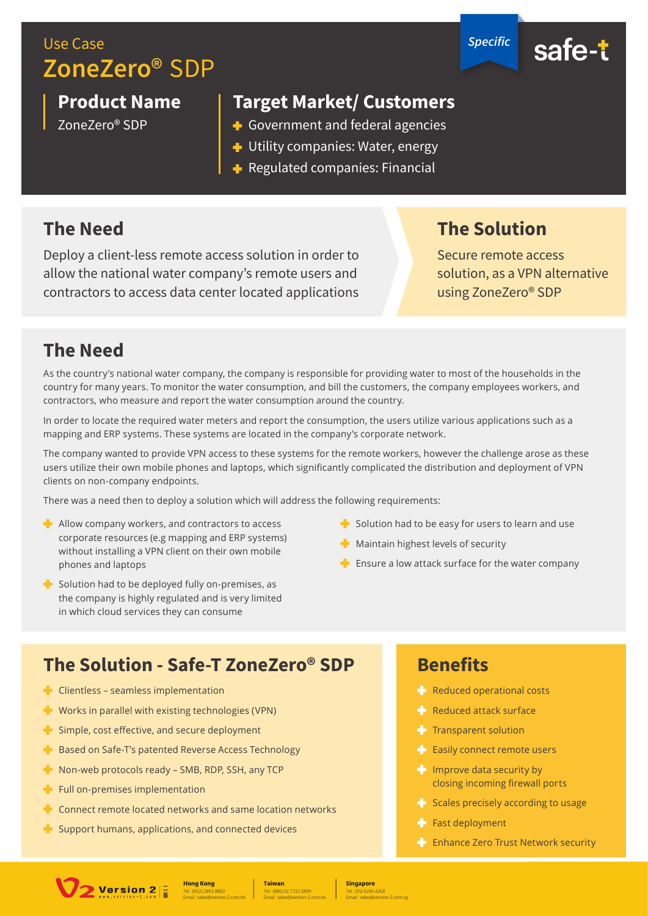# Use Case **ZoneZero®** SDP

**Product Name**

ZoneZero® SDP

**Target Market/ Customers**

- Government and federal agencies
- Utility companies: Water, energy
- $\blacksquare$  Regulated companies: Financial

## **The Need**

Deploy a client-less remote access solution in order to allow the national water company's remote users and contractors to access data center located applications

### **The Solution**

*Specific*

Secure remote access solution, as a VPN alternative using ZoneZero® SDP

#### **The Need**

As the country's national water company, the company is responsible for providing water to most of the households in the country for many years. To monitor the water consumption, and bill the customers, the company employees workers, and contractors, who measure and report the water consumption around the country.

In order to locate the required water meters and report the consumption, the users utilize various applications such as a mapping and ERP systems. These systems are located in the company's corporate network.

The company wanted to provide VPN access to these systems for the remote workers, however the challenge arose as these users utilize their own mobile phones and laptops, which significantly complicated the distribution and deployment of VPN clients on non-company endpoints.

There was a need then to deploy a solution which will address the following requirements:

- $\blacktriangleright$  Allow company workers, and contractors to access corporate resources (e.g mapping and ERP systems) without installing a VPN client on their own mobile phones and laptops
- $\blacktriangleright$  Solution had to be deployed fully on-premises, as the company is highly regulated and is very limited in which cloud services they can consume
- $\blacktriangleright$  Solution had to be easy for users to learn and use
- $\blacksquare$  Maintain highest levels of security
- $\blacksquare$  Ensure a low attack surface for the water company

## **The Solution - Safe-T ZoneZero® SDP**

- $\blacksquare$  Clientless seamless implementation
- Vorks in parallel with existing technologies (VPN)
- **F** Simple, cost effective, and secure deployment
- **Based on Safe-T's patented Reverse Access Technology**
- Non-web protocols ready SMB, RDP, SSH, any TCP
- $\blacksquare$  Full on-premises implementation
- $\blacktriangleright$  Connect remote located networks and same location networks
- $\blacksquare$  Support humans, applications, and connected devices

#### **Benefits**

- **Reduced operational costs**
- **Reduced attack surface**
- $\blacksquare$  Transparent solution
- **Easily connect remote users**
- $\blacksquare$  Improve data security by closing incoming firewall ports
- $\blacktriangle$  Scales precisely according to usage
- $F$  Fast deployment
- $\blacksquare$  Enhance Zero Trust Network security



Tel : (886) 02 7722 6899 **Taiwan** Email : sales@version-2.com.tw

Tel : (65) 6296 4268 **Singapore**

Email : sales@version-2.com.sg